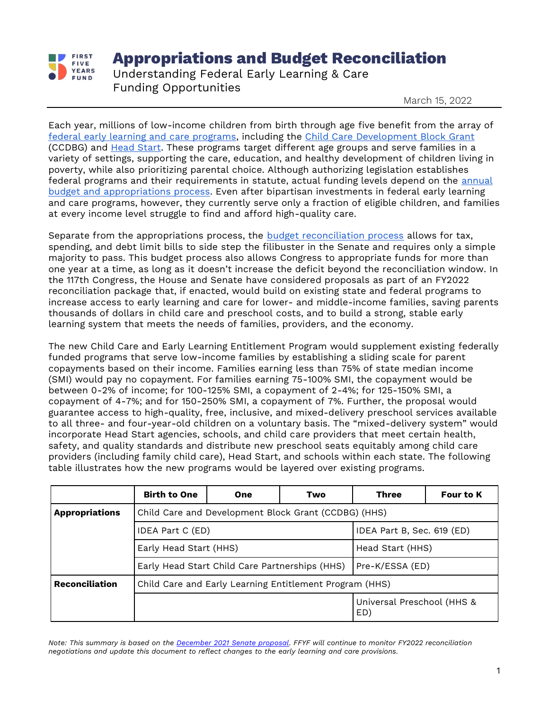

## **Appropriations and Budget Reconciliation**

Understanding Federal Early Learning & Care Funding Opportunities

March 15, 2022

Each year, millions of low-income children from birth through age five benefit from the array of [federal early learning and care programs,](https://www.ffyf.org/abcs-of-federal-early-learning-and-care-funding-streams/) including the [Child Care Development Block Grant](https://www.ffyf.org/issues/ccdbg/) (CCDBG) and [Head Start.](https://www.ffyf.org/issues/head-start-early-head-start/) These programs target different age groups and serve families in a variety of settings, supporting the care, education, and healthy development of children living in poverty, while also prioritizing parental choice. Although authorizing legislation establishes federal programs and their requirements in statute, actual funding levels depend on the annual [budget and appropriations process.](https://www.ffyf.org/issues/budget-appropriations/) Even after bipartisan investments in federal early learning and care programs, however, they currently serve only a fraction of eligible children, and families at every income level struggle to find and afford high-quality care.

Separate from the appropriations process, the [budget reconciliation process](https://www.ffyf.org/understanding-the-process-congress-expected-to-move-forward-with-budget-reconciliation-to-pass-proposals-tied-to-president-bidens-american-families-plan/) allows for tax, spending, and debt limit bills to side step the filibuster in the Senate and requires only a simple majority to pass. This budget process also allows Congress to appropriate funds for more than one year at a time, as long as it doesn't increase the deficit beyond the reconciliation window. In the 117th Congress, the House and Senate have considered proposals as part of an FY2022 reconciliation package that, if enacted, would build on existing state and federal programs to increase access to early learning and care for lower- and middle-income families, saving parents thousands of dollars in child care and preschool costs, and to build a strong, stable early learning system that meets the needs of families, providers, and the economy.

The new Child Care and Early Learning Entitlement Program would supplement existing federally funded programs that serve low-income families by establishing a sliding scale for parent copayments based on their income. Families earning less than 75% of state median income (SMI) would pay no copayment. For families earning 75-100% SMI, the copayment would be between 0-2% of income; for 100-125% SMI, a copayment of 2-4%; for 125-150% SMI, a copayment of 4-7%; and for 150-250% SMI, a copayment of 7%. Further, the proposal would guarantee access to high-quality, free, inclusive, and mixed-delivery preschool services available to all three- and four-year-old children on a voluntary basis. The "mixed-delivery system" would incorporate Head Start agencies, schools, and child care providers that meet certain health, safety, and quality standards and distribute new preschool seats equitably among child care providers (including family child care), Head Start, and schools within each state. The following table illustrates how the new programs would be layered over existing programs.

|                       | <b>Birth to One</b>                                     | One                                            | Two                        | <b>Three</b>                      | <b>Four to K</b> |  |  |  |
|-----------------------|---------------------------------------------------------|------------------------------------------------|----------------------------|-----------------------------------|------------------|--|--|--|
| <b>Appropriations</b> | Child Care and Development Block Grant (CCDBG) (HHS)    |                                                |                            |                                   |                  |  |  |  |
|                       | IDEA Part C (ED)                                        |                                                | IDEA Part B, Sec. 619 (ED) |                                   |                  |  |  |  |
|                       | Early Head Start (HHS)                                  |                                                | Head Start (HHS)           |                                   |                  |  |  |  |
|                       |                                                         | Early Head Start Child Care Partnerships (HHS) | Pre-K/ESSA (ED)            |                                   |                  |  |  |  |
| <b>Reconciliation</b> | Child Care and Early Learning Entitlement Program (HHS) |                                                |                            |                                   |                  |  |  |  |
|                       |                                                         |                                                |                            | Universal Preschool (HHS &<br>ED) |                  |  |  |  |

*Note: This summary is based on the [December 2021 Senate proposal.](https://www.ffyf.org/child-care-and-pre-k-in-the-build-back-better-act-a-look-at-the-legislative-text/) FFYF will continue to monitor FY2022 reconciliation negotiations and update this document to reflect changes to the early learning and care provisions.*